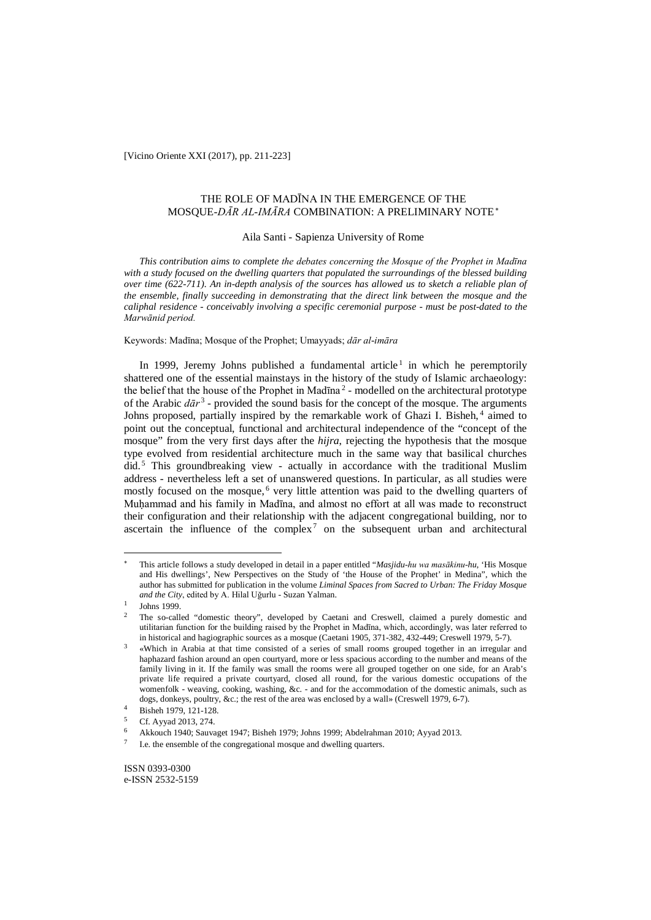[Vicino Oriente XXI (2017), pp. 211-223]

# THE ROLE OF MADĪNA IN THE EMERGENCE OF THE MOSQUE-*DĀR AL-IMĀRA* COMBINATION: A PRELIMINARY NOTE<sup>∗</sup>

# Aila Santi - Sapienza University of Rome

*This contribution aims to complete the debates concerning the Mosque of the Prophet in Madīna with a study focused on the dwelling quarters that populated the surroundings of the blessed building over time (622-711). An in-depth analysis of the sources has allowed us to sketch a reliable plan of the ensemble, finally succeeding in demonstrating that the direct link between the mosque and the caliphal residence - conceivably involving a specific ceremonial purpose - must be post-dated to the Marwānid period.*

Keywords: Madīna; Mosque of the Prophet; Umayyads; *dār al-imāra* 

In 1999, Jeremy Johns published a fundamental article<sup>1</sup> in which he peremptorily shattered one of the essential mainstays in the history of the study of Islamic archaeology: the belief that the house of the Prophet in Mad $\bar{a}$ <sup>2</sup> - modelled on the architectural prototype of the Arabic  $d\bar{a}r^3$  - provided the sound basis for the concept of the mosque. The arguments Johns proposed, partially inspired by the remarkable work of Ghazi I. Bisheh, <sup>4</sup> aimed to point out the conceptual, functional and architectural independence of the "concept of the mosque" from the very first days after the *hijra*, rejecting the hypothesis that the mosque type evolved from residential architecture much in the same way that basilical churches did. <sup>5</sup> This groundbreaking view - actually in accordance with the traditional Muslim address - nevertheless left a set of unanswered questions. In particular, as all studies were mostly focused on the mosque,<sup>6</sup> very little attention was paid to the dwelling quarters of Muhammad and his family in Madīna, and almost no effort at all was made to reconstruct their configuration and their relationship with the adjacent congregational building, nor to ascertain the influence of the complex<sup>7</sup> on the subsequent urban and architectural

<sup>∗</sup> This article follows a study developed in detail in a paper entitled "*Masjidu-hu wa masākinu-hu*, 'His Mosque and His dwellings', New Perspectives on the Study of 'the House of the Prophet' in Medina", which the author has submitted for publication in the volume *Liminal Spaces from Sacred to Urban: The Friday Mosque and the City*, edited by A. Hilal Uğurlu - Suzan Yalman.

 $\frac{1}{2}$  Johns 1999.

<sup>2</sup> The so-called "domestic theory", developed by Caetani and Creswell, claimed a purely domestic and utilitarian function for the building raised by the Prophet in Madīna, which, accordingly, was later referred to in historical and hagiographic sources as a mosque (Caetani 1905, 371-382, 432-449; Creswell 1979, 5-7).

<sup>3</sup> «Which in Arabia at that time consisted of a series of small rooms grouped together in an irregular and haphazard fashion around an open courtyard, more or less spacious according to the number and means of the family living in it. If the family was small the rooms were all grouped together on one side, for an Arab's private life required a private courtyard, closed all round, for the various domestic occupations of the womenfolk - weaving, cooking, washing, &c. - and for the accommodation of the domestic animals, such as dogs, donkeys, poultry, &c.; the rest of the area was enclosed by a wall» (Creswell 1979, 6-7).

<sup>4</sup> Bisheh 1979, 121-128.<br>5 Cf. Ayyad 2013, 274.

<sup>6</sup> Akkouch 1940; Sauvaget 1947; Bisheh 1979; Johns 1999; Abdelrahman 2010; Ayyad 2013.

<sup>7</sup> I.e. the ensemble of the congregational mosque and dwelling quarters.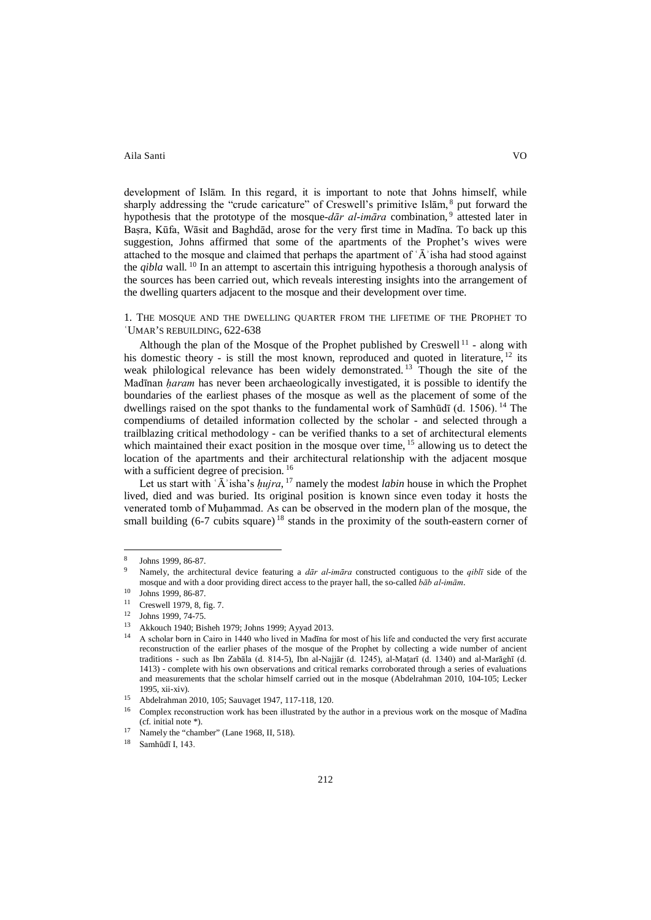development of Islām. In this regard, it is important to note that Johns himself, while sharply addressing the "crude caricature" of Creswell's primitive Islam, <sup>8</sup> put forward the hypothesis that the prototype of the mosque-*dār al-imāra* combination, <sup>9</sup> attested later in Baṣra, Kūfa, Wāsit and Baghdād, arose for the very first time in Madīna. To back up this suggestion, Johns affirmed that some of the apartments of the Prophet's wives were attached to the mosque and claimed that perhaps the apartment of  $\hat{A}$  isha had stood against the *qibla* wall. <sup>10</sup> In an attempt to ascertain this intriguing hypothesis a thorough analysis of the sources has been carried out, which reveals interesting insights into the arrangement of the dwelling quarters adjacent to the mosque and their development over time.

1. THE MOSQUE AND THE DWELLING QUARTER FROM THE LIFETIME OF THE PROPHET TO ʿUMAR'S REBUILDING, 622-638

Although the plan of the Mosque of the Prophet published by Creswell<sup>11</sup> - along with his domestic theory - is still the most known, reproduced and quoted in literature, <sup>12</sup> its weak philological relevance has been widely demonstrated.<sup>13</sup> Though the site of the Madīnan *ḥaram* has never been archaeologically investigated, it is possible to identify the boundaries of the earliest phases of the mosque as well as the placement of some of the dwellings raised on the spot thanks to the fundamental work of Samhūdī (d. 1506). <sup>14</sup> The compendiums of detailed information collected by the scholar - and selected through a trailblazing critical methodology - can be verified thanks to a set of architectural elements which maintained their exact position in the mosque over time, <sup>15</sup> allowing us to detect the location of the apartments and their architectural relationship with the adjacent mosque with a sufficient degree of precision.<sup>16</sup>

Let us start with ʿĀʾisha's *ḥujra*, <sup>17</sup> namely the modest *labin* house in which the Prophet lived, died and was buried. Its original position is known since even today it hosts the venerated tomb of Muḥammad. As can be observed in the modern plan of the mosque, the small building  $(6-7 \text{ cubits square})^{18}$  stands in the proximity of the south-eastern corner of

<sup>8</sup> Johns 1999, 86-87.

<sup>9</sup> Namely, the architectural device featuring a *dār al-imāra* constructed contiguous to the *qiblī* side of the mosque and with a door providing direct access to the prayer hall, the so-called *bāb al-imām*.

 $\frac{10}{11}$  Johns 1999, 86-87.

Creswell 1979, 8, fig. 7.

<sup>12</sup> Johns 1999, 74-75.

<sup>&</sup>lt;sup>13</sup> Akkouch 1940; Bisheh 1979; Johns 1999; Ayyad 2013.

<sup>14</sup> A scholar born in Cairo in 1440 who lived in Madīna for most of his life and conducted the very first accurate reconstruction of the earlier phases of the mosque of the Prophet by collecting a wide number of ancient traditions - such as Ibn Zabāla (d. 814-5), Ibn al-Najjār (d. 1245), al-Maṭarī (d. 1340) and al-Marāghī (d. 1413) - complete with his own observations and critical remarks corroborated through a series of evaluations and measurements that the scholar himself carried out in the mosque (Abdelrahman 2010, 104-105; Lecker 1995, xii-xiv).<br>
<sup>15</sup> Abdelrahman 2010, 105; Sauvaget 1947, 117-118, 120.<br>
<sup>16</sup> Coural in assembly the little has been illustated by the

<sup>16</sup> Complex reconstruction work has been illustrated by the author in a previous work on the mosque of Madīna (cf. initial note \*).<br>
<sup>17</sup> Namely the "chamber" (Lane 1968, II, 518).<br>
<sup>18</sup> Sombūd<sup>5</sup> L 143

Samhūdī I, 143.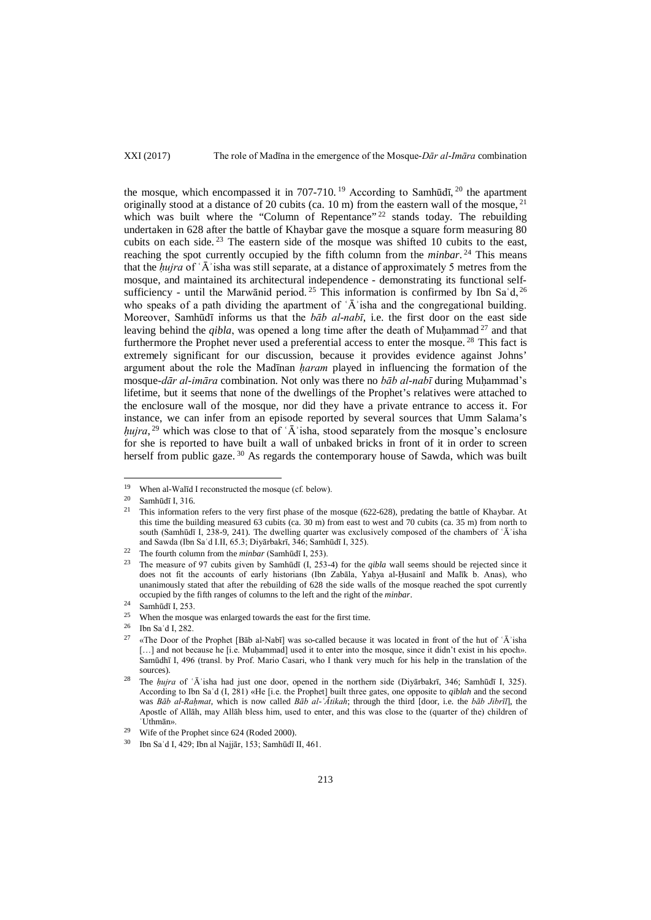the mosque, which encompassed it in 707-710.<sup>19</sup> According to Samhūdī,  $20$  the apartment originally stood at a distance of 20 cubits (ca.  $10 \text{ m}$ ) from the eastern wall of the mosque,  $21$ which was built where the "Column of Repentance"<sup>22</sup> stands today. The rebuilding undertaken in 628 after the battle of Khaybar gave the mosque a square form measuring 80 cubits on each side. <sup>23</sup> The eastern side of the mosque was shifted 10 cubits to the east, reaching the spot currently occupied by the fifth column from the *minbar*.<sup>24</sup> This means that the *ḥujra* of ʿĀʾisha was still separate, at a distance of approximately 5 metres from the mosque, and maintained its architectural independence - demonstrating its functional selfsufficiency - until the Marwānid period.<sup>25</sup> This information is confirmed by Ibn Sa'd,<sup>26</sup> who speaks of a path dividing the apartment of  $\tilde{A}$  isha and the congregational building. Moreover, Samhūdī informs us that the *bāb al-nabī*, i.e. the first door on the east side leaving behind the *qibla*, was opened a long time after the death of Muḥammad<sup>27</sup> and that furthermore the Prophet never used a preferential access to enter the mosque.<sup>28</sup> This fact is extremely significant for our discussion, because it provides evidence against Johns' argument about the role the Madīnan *ḥaram* played in influencing the formation of the mosque-*dār al-imāra* combination. Not only was there no *bāb al-nabī* during Muḥammad's lifetime, but it seems that none of the dwellings of the Prophet's relatives were attached to the enclosure wall of the mosque, nor did they have a private entrance to access it. For instance, we can infer from an episode reported by several sources that Umm Salama's *hujra*, <sup>29</sup> which was close to that of 'A<sup>'</sup> isha, stood separately from the mosque's enclosure for she is reported to have built a wall of unbaked bricks in front of it in order to screen herself from public gaze.<sup>30</sup> As regards the contemporary house of Sawda, which was built

<sup>&</sup>lt;sup>19</sup> When al-Walīd I reconstructed the mosque (cf. below).<br><sup>20</sup> Sambādī I 216

<sup>&</sup>lt;sup>20</sup> Samhūdī I, 316.<br><sup>21</sup> This information

<sup>21</sup> This information refers to the very first phase of the mosque (622-628), predating the battle of Khaybar. At this time the building measured 63 cubits (ca. 30 m) from east to west and 70 cubits (ca. 35 m) from north to south (Samhūdī I, 238-9, 241). The dwelling quarter was exclusively composed of the chambers of 'A'isha and Sawda (Ibn Saʿd I.II, 65.3; Diyārbakrī, 346; Samhūdī I, 325).

<sup>22</sup> The fourth column from the *minbar* (Samhūdī I, 253).

<sup>23</sup> The measure of 97 cubits given by Samhūdī (I, 253-4) for the *qibla* wall seems should be rejected since it does not fit the accounts of early historians (Ibn Zabāla, Yaḥya al-Ḥusainī and Malīk b. Anas), who unanimously stated that after the rebuilding of 628 the side walls of the mosque reached the spot currently occupied by the fifth ranges of columns to the left and the right of the *minbar*.

 $24$  Samhūdī I, 253.

<sup>&</sup>lt;sup>25</sup> When the mosque was enlarged towards the east for the first time.<br> $\frac{26}{100}$  The Se<sup>4</sup> J 282

 $\frac{26}{27}$  Ibn Sa'd I, 282.

<sup>27</sup> «The Door of the Prophet [Bāb al-Nabī] was so-called because it was located in front of the hut of ʿĀʾisha [...] and not because he [i.e. Muḥammad] used it to enter into the mosque, since it didn't exist in his epoch». Samūdhī I, 496 (transl. by Prof. Mario Casari, who I thank very much for his help in the translation of the sources).

<sup>28</sup> The *ḥujra* of ʿĀʾisha had just one door, opened in the northern side (Diyārbakrī, 346; Samhūdī I, 325). According to Ibn Saʿd (I, 281) «He [i.e. the Prophet] built three gates, one opposite to *qiblah* and the second was *Bāb al-Raḥmat*, which is now called *Bāb al-ʿĀtikah*; through the third [door, i.e. the *bāb Jibrīl*], the Apostle of Allāh, may Allāh bless him, used to enter, and this was close to the (quarter of the) children of ʿUthmān».

<sup>29</sup> Wife of the Prophet since 624 (Roded 2000).

<sup>30</sup> Ibn Saʿd I, 429; Ibn al Najjār, 153; Samhūdī II, 461.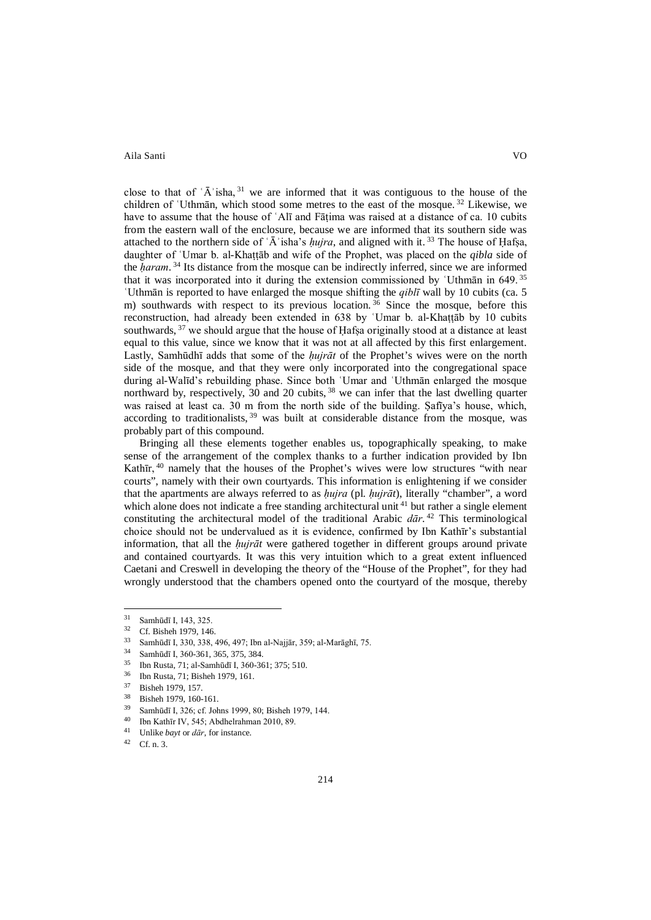close to that of  $\hat{A}$  isha,  $31$  we are informed that it was contiguous to the house of the children of ʿUthmān, which stood some metres to the east of the mosque. <sup>32</sup> Likewise, we have to assume that the house of 'Alī and Fātima was raised at a distance of ca. 10 cubits from the eastern wall of the enclosure, because we are informed that its southern side was attached to the northern side of  $\tilde{A}$  isha's *hujra*, and aligned with it.<sup>33</sup> The house of Hafsa, daughter of ʿUmar b. al-Khaṭṭāb and wife of the Prophet, was placed on the *qibla* side of the *ḥaram*. <sup>34</sup> Its distance from the mosque can be indirectly inferred, since we are informed that it was incorporated into it during the extension commissioned by ʿUthmān in 649. <sup>35</sup> ʿUthmān is reported to have enlarged the mosque shifting the *qiblī* wall by 10 cubits (ca. 5 m) southwards with respect to its previous location.<sup>36</sup> Since the mosque, before this reconstruction, had already been extended in 638 by ʿUmar b. al-Khaṭṭāb by 10 cubits southwards, <sup>37</sup> we should argue that the house of Hafsa originally stood at a distance at least equal to this value, since we know that it was not at all affected by this first enlargement. Lastly, Samhūdhī adds that some of the *ḥujrāt* of the Prophet's wives were on the north side of the mosque, and that they were only incorporated into the congregational space during al-Walīd's rebuilding phase. Since both ʿUmar and ʿUthmān enlarged the mosque northward by, respectively, 30 and 20 cubits, <sup>38</sup> we can infer that the last dwelling quarter was raised at least ca. 30 m from the north side of the building. Ṣafīya's house, which, according to traditionalists, <sup>39</sup> was built at considerable distance from the mosque, was probably part of this compound.

Bringing all these elements together enables us, topographically speaking, to make sense of the arrangement of the complex thanks to a further indication provided by Ibn Kathīr, <sup>40</sup> namely that the houses of the Prophet's wives were low structures "with near courts", namely with their own courtyards. This information is enlightening if we consider that the apartments are always referred to as *ḥujra* (pl. *ḥujrāt*), literally "chamber", a word which alone does not indicate a free standing architectural unit  $4<sup>1</sup>$  but rather a single element constituting the architectural model of the traditional Arabic *dār*. <sup>42</sup> This terminological choice should not be undervalued as it is evidence, confirmed by Ibn Kathīr's substantial information, that all the *ḥujrāt* were gathered together in different groups around private and contained courtyards. It was this very intuition which to a great extent influenced Caetani and Creswell in developing the theory of the "House of the Prophet", for they had wrongly understood that the chambers opened onto the courtyard of the mosque, thereby

 $\frac{31}{32}$  Samhūdī I, 143, 325. 31

 $^{32}$  Cf. Bisheh 1979, 146.<br> $^{33}$  Sambudi 1 220, 228

<sup>33</sup> Samhūdī I, 330, 338, 496, 497; Ibn al-Najjār, 359; al-Marāghī, 75.

<sup>&</sup>lt;sup>34</sup> Samhūdī I, 360-361, 365, 375, 384.<br><sup>35</sup> Jhn Busta 71: al Samhūdī I, 360, 36

<sup>35</sup> Ibn Rusta, 71; al-Samhūdī I, 360-361; 375; 510. 36 Ibn Rusta, 71; Bisheh 1979, 161.

 $\frac{37}{38}$  Bisheh 1979, 157.

Bisheh 1979, 160-161.

<sup>39</sup> Samhūdī I, 326; cf. Johns 1999, 80; Bisheh 1979, 144.

<sup>&</sup>lt;sup>40</sup> Ibn Kathīr IV, 545; Abdhelrahman 2010, 89.

<sup>&</sup>lt;sup>41</sup> Unlike *bayt* or  $d\bar{a}r$ , for instance.

Cf. n. 3.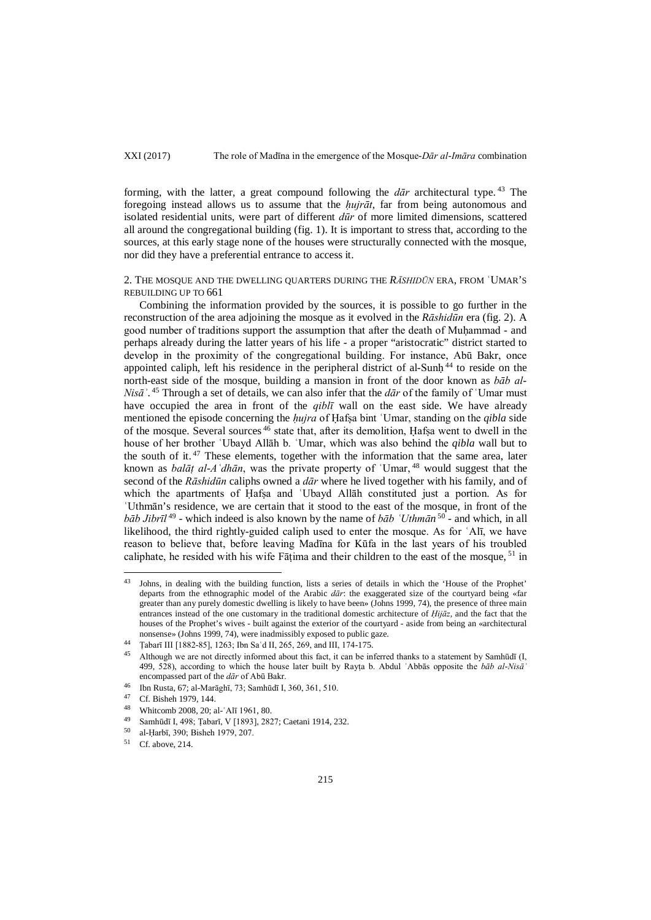XXI (2017) The role of Madīna in the emergence of the Mosque-*Dār al-Imāra* combination

forming, with the latter, a great compound following the *dār* architectural type. <sup>43</sup> The foregoing instead allows us to assume that the *ḥujrāt*, far from being autonomous and isolated residential units, were part of different *dūr* of more limited dimensions, scattered all around the congregational building (fig. 1). It is important to stress that, according to the sources, at this early stage none of the houses were structurally connected with the mosque, nor did they have a preferential entrance to access it.

2. THE MOSQUE AND THE DWELLING QUARTERS DURING THE *RĀSHIDŪN* ERA, FROM ʿUMAR'S REBUILDING UP TO 661

Combining the information provided by the sources, it is possible to go further in the reconstruction of the area adjoining the mosque as it evolved in the *Rāshidūn* era (fig. 2). A good number of traditions support the assumption that after the death of Muhammad - and perhaps already during the latter years of his life - a proper "aristocratic" district started to develop in the proximity of the congregational building. For instance, Abū Bakr, once appointed caliph, left his residence in the peripheral district of al-Sunh<sup>44</sup> to reside on the north-east side of the mosque, building a mansion in front of the door known as *bāb al-Nisāʾ*. <sup>45</sup> Through a set of details, we can also infer that the *dār* of the family of ʿUmar must have occupied the area in front of the *qiblī* wall on the east side. We have already mentioned the episode concerning the *ḥujra* of Ḥafṣa bint ʿUmar, standing on the *qibla* side of the mosque. Several sources <sup>46</sup> state that, after its demolition, Ḥafṣa went to dwell in the house of her brother ʿUbayd Allāh b. ʿUmar, which was also behind the *qibla* wall but to the south of it.  $47$  These elements, together with the information that the same area, later known as *balāṭ al-Aʿdhān*, was the private property of ʿUmar, <sup>48</sup> would suggest that the second of the *Rāshidūn* caliphs owned a *dār* where he lived together with his family, and of which the apartments of Hafsa and `Ubayd Allāh constituted just a portion. As for ʿUthmān's residence, we are certain that it stood to the east of the mosque, in front of the *bāb Jibrīl* <sup>49</sup> - which indeed is also known by the name of *bāb ʿUthmān* <sup>50</sup> *-* and which, in all likelihood, the third rightly-guided caliph used to enter the mosque. As for ʿAlī, we have reason to believe that, before leaving Madīna for Kūfa in the last years of his troubled caliphate, he resided with his wife Fātima and their children to the east of the mosque,  $51$  in

<sup>&</sup>lt;sup>43</sup> Johns, in dealing with the building function, lists a series of details in which the 'House of the Prophet' departs from the ethnographic model of the Arabic *dār*: the exaggerated size of the courtyard being «far greater than any purely domestic dwelling is likely to have been» (Johns 1999, 74), the presence of three main entrances instead of the one customary in the traditional domestic architecture of *Ḥijāz*, and the fact that the houses of the Prophet's wives - built against the exterior of the courtyard - aside from being an «architectural nonsense» (Johns 1999, 74), were inadmissibly exposed to public gaze.

<sup>&</sup>lt;sup>44</sup> Tabarī III [1882-85], 1263; Ibn Sa'd II, 265, 269, and III, 174-175.

<sup>45</sup> Although we are not directly informed about this fact, it can be inferred thanks to a statement by Samhūdī (I, 499, 528), according to which the house later built by Rayṭa b. Abdul ʿAbbās opposite the *bāb al-Nisāʾ* encompassed part of the *dār* of Abū Bakr.

<sup>46</sup> Ibn Rusta, 67; al-Marāghī, 73; Samhūdī I, 360, 361, 510.

<sup>&</sup>lt;sup>47</sup> Cf. Bisheh 1979, 144.

Whitcomb 2008, 20; al-'Alī 1961, 80.

<sup>49</sup> Samhūdī I, 498; Ṭabarī, V [1893], 2827; Caetani 1914, 232.

 $^{50}$  al-Ḥarbī, 390; Bisheh 1979, 207.<br> $^{51}$  Cf above 214.

Cf. above, 214.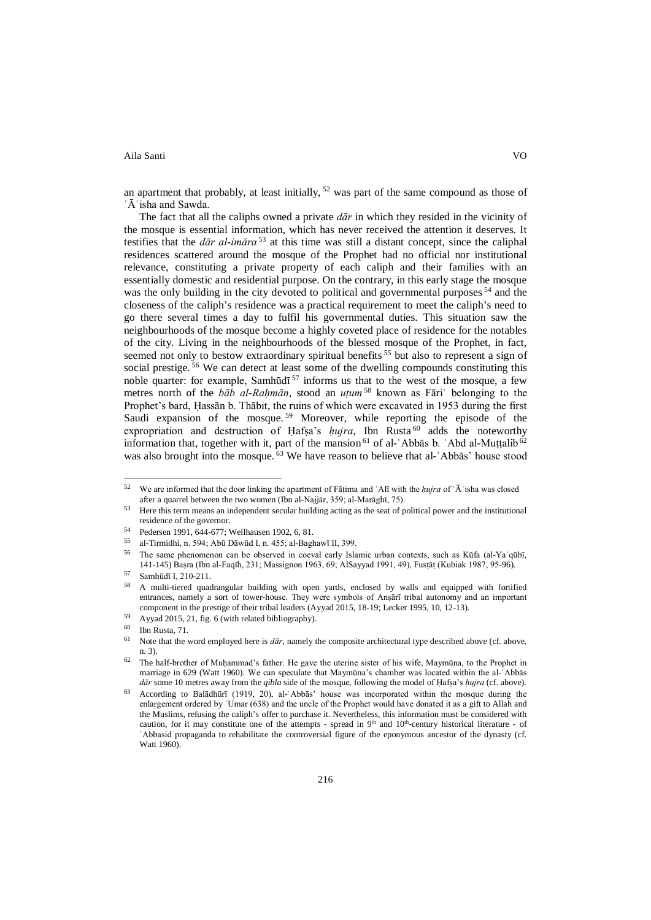an apartment that probably, at least initially,  $52$  was part of the same compound as those of ʿĀʾisha and Sawda.

The fact that all the caliphs owned a private *dār* in which they resided in the vicinity of the mosque is essential information, which has never received the attention it deserves. It testifies that the *dār al-imāra* <sup>53</sup> at this time was still a distant concept, since the caliphal residences scattered around the mosque of the Prophet had no official nor institutional relevance, constituting a private property of each caliph and their families with an essentially domestic and residential purpose. On the contrary, in this early stage the mosque was the only building in the city devoted to political and governmental purposes<sup>54</sup> and the closeness of the caliph's residence was a practical requirement to meet the caliph's need to go there several times a day to fulfil his governmental duties. This situation saw the neighbourhoods of the mosque become a highly coveted place of residence for the notables of the city. Living in the neighbourhoods of the blessed mosque of the Prophet, in fact, seemed not only to bestow extraordinary spiritual benefits  $55$  but also to represent a sign of social prestige. <sup>56</sup> We can detect at least some of the dwelling compounds constituting this noble quarter: for example, Samhūdī<sup>57</sup> informs us that to the west of the mosque, a few metres north of the *bāb al-Raḥmān*, stood an *uṭum* <sup>58</sup> known as Fāriʿ belonging to the Prophet's bard, Ḥassān b. Thābit, the ruins of which were excavated in 1953 during the first Saudi expansion of the mosque.<sup>59</sup> Moreover, while reporting the episode of the expropriation and destruction of Hafsa's *hujra*, Ibn Rusta<sup>60</sup> adds the noteworthy information that, together with it, part of the mansion  $61$  of al-'Abbas b. 'Abd al-Muṭṭalib $62$ was also brought into the mosque. <sup>63</sup> We have reason to believe that al-`Abbas' house stood

<sup>52</sup> We are informed that the door linking the apartment of Fāṭima and ʿAlī with the *ḥujra* of ʿĀʾisha was closed after a quarrel between the two women (Ibn al-Najjār, 359; al-Marāghī, 75).

<sup>53</sup> Here this term means an independent secular building acting as the seat of political power and the institutional residence of the governor.

<sup>54</sup> Pedersen 1991, 644-677; Wellhausen 1902, 6, 81.<br> $55$  el Timpidhi n 504+ Ab5 D5 wid Ln 455+ el Dech

<sup>&</sup>lt;sup>55</sup> al-Tirmidhi, n. 594; Abū Dāwūd I, n. 455; al-Baghawī II, 399.<br><sup>56</sup> The same abanementary as has electrical in again soalis Isla

<sup>56</sup> The same phenomenon can be observed in coeval early Islamic urban contexts, such as Kūfa (al-Yaʿqūbī, 141-145) Baṣra (Ibn al-Faqīh, 231; Massignon 1963, 69; AlSayyad 1991, 49), Fusṭāṭ (Kubiak 1987, 95-96).

 $^{57}$  Samhūdī I, 210-211.

<sup>58</sup> A multi-tiered quadrangular building with open yards, enclosed by walls and equipped with fortified entrances, namely a sort of tower-house. They were symbols of Anṣārī tribal autonomy and an important component in the prestige of their tribal leaders (Ayyad 2015, 18-19; Lecker 1995, 10, 12-13).

<sup>&</sup>lt;sup>59</sup> Ayyad 2015, 21, fig. 6 (with related bibliography).

 $^{60}$  Ibn Rusta, 71.

Note that the word employed here is *dār*, namely the composite architectural type described above (cf. above, n. 3).

<sup>62</sup> The half-brother of Muḥammad's father. He gave the uterine sister of his wife, Maymūna, to the Prophet in marriage in 629 (Watt 1960). We can speculate that Maymūna's chamber was located within the al-ʿAbbās *dār* some 10 metres away from the *qibla* side of the mosque, following the model of Ḥafṣa's *ḥujra* (cf. above).

<sup>63</sup> According to Balādhūrī (1919, 20), al-ʿAbbās' house was incorporated within the mosque during the enlargement ordered by 'Umar (638) and the uncle of the Prophet would have donated it as a gift to Allah and the Muslims, refusing the caliph's offer to purchase it. Nevertheless, this information must be considered with caution, for it may constitute one of the attempts - spread in 9<sup>th</sup> and 10<sup>th</sup>-century historical literature - of ʿAbbasid propaganda to rehabilitate the controversial figure of the eponymous ancestor of the dynasty (cf. Watt 1960).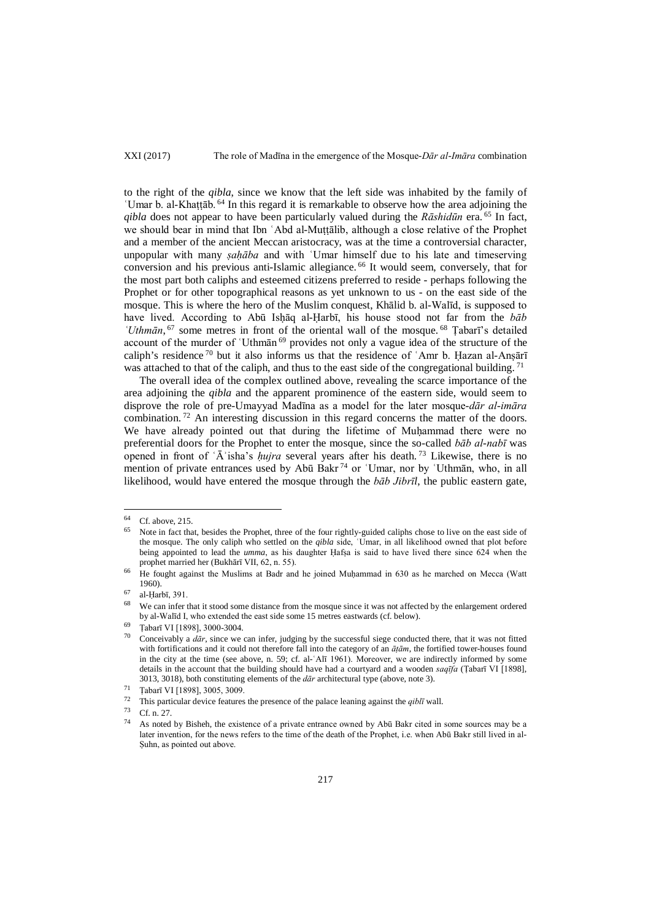# XXI (2017) The role of Madīna in the emergence of the Mosque-*Dār al-Imāra* combination

to the right of the *qibla*, since we know that the left side was inhabited by the family of ʿUmar b. al-Khaṭṭāb. <sup>64</sup> In this regard it is remarkable to observe how the area adjoining the *qibla* does not appear to have been particularly valued during the *Rāshidūn* era. <sup>65</sup> In fact, we should bear in mind that Ibn `Abd al-Muttalib, although a close relative of the Prophet and a member of the ancient Meccan aristocracy, was at the time a controversial character, unpopular with many *ṣaḥāba* and with ʿUmar himself due to his late and timeserving conversion and his previous anti-Islamic allegiance. <sup>66</sup> It would seem, conversely, that for the most part both caliphs and esteemed citizens preferred to reside - perhaps following the Prophet or for other topographical reasons as yet unknown to us - on the east side of the mosque. This is where the hero of the Muslim conquest, Khālid b. al-Walīd, is supposed to have lived. According to Abū Ishāq al-Harbī, his house stood not far from the *bab 'Uthmān*, <sup>67</sup> some metres in front of the oriental wall of the mosque. <sup>68</sup> Tabarī's detailed account of the murder of ʿUthmān <sup>69</sup> provides not only a vague idea of the structure of the caliph's residence  $70$  but it also informs us that the residence of 'Amr b. Hazan al-Ansārī was attached to that of the caliph, and thus to the east side of the congregational building.  $7<sup>1</sup>$ 

The overall idea of the complex outlined above, revealing the scarce importance of the area adjoining the *qibla* and the apparent prominence of the eastern side, would seem to disprove the role of pre-Umayyad Madīna as a model for the later mosque-*dār al-imāra* combination.<sup>72</sup> An interesting discussion in this regard concerns the matter of the doors. We have already pointed out that during the lifetime of Muḥammad there were no preferential doors for the Prophet to enter the mosque, since the so-called *bāb al-nabī* was opened in front of ʿĀʾisha's *ḥujra* several years after his death. <sup>73</sup> Likewise, there is no mention of private entrances used by Abū Bakr<sup>74</sup> or 'Umar, nor by 'Uthmān, who, in all likelihood, would have entered the mosque through the *bāb Jibrīl*, the public eastern gate,

 $64$  Cf. above, 215.

Note in fact that, besides the Prophet, three of the four rightly-guided caliphs chose to live on the east side of the mosque. The only caliph who settled on the *qibla* side, ʿUmar, in all likelihood owned that plot before being appointed to lead the *umma*, as his daughter Ḥafṣa is said to have lived there since 624 when the prophet married her (Bukhārī VII, 62, n. 55).

<sup>&</sup>lt;sup>66</sup> He fought against the Muslims at Badr and he joined Muḥammad in 630 as he marched on Mecca (Watt 1960).

 $^{67}$  al-Ḥarbī, 391.

We can infer that it stood some distance from the mosque since it was not affected by the enlargement ordered by al-Walīd I, who extended the east side some 15 metres eastwards (cf. below).

<sup>&</sup>lt;sup>69</sup> Țabarī VI [1898], 3000-3004.

<sup>70</sup> Conceivably a *dār*, since we can infer, judging by the successful siege conducted there, that it was not fitted with fortifications and it could not therefore fall into the category of an *āṭām*, the fortified tower-houses found in the city at the time (see above, n. 59; cf. al-ʿAlī 1961). Moreover, we are indirectly informed by some details in the account that the building should have had a courtyard and a wooden *saqīfa* (Ṭabarī VI [1898], 3013, 3018), both constituting elements of the *dār* architectural type (above, note 3). 71 Ṭabarī VI [1898], 3005, 3009.

<sup>&</sup>lt;sup>72</sup> This particular device features the presence of the palace leaning against the *qibl*<sup> $73$ </sup> Cf a <sup>27</sup>

 $^{73}$  Cf. n. 27.

As noted by Bisheh, the existence of a private entrance owned by Abū Bakr cited in some sources may be a later invention, for the news refers to the time of the death of the Prophet, i.e. when Abū Bakr still lived in al-Ṣuhn, as pointed out above.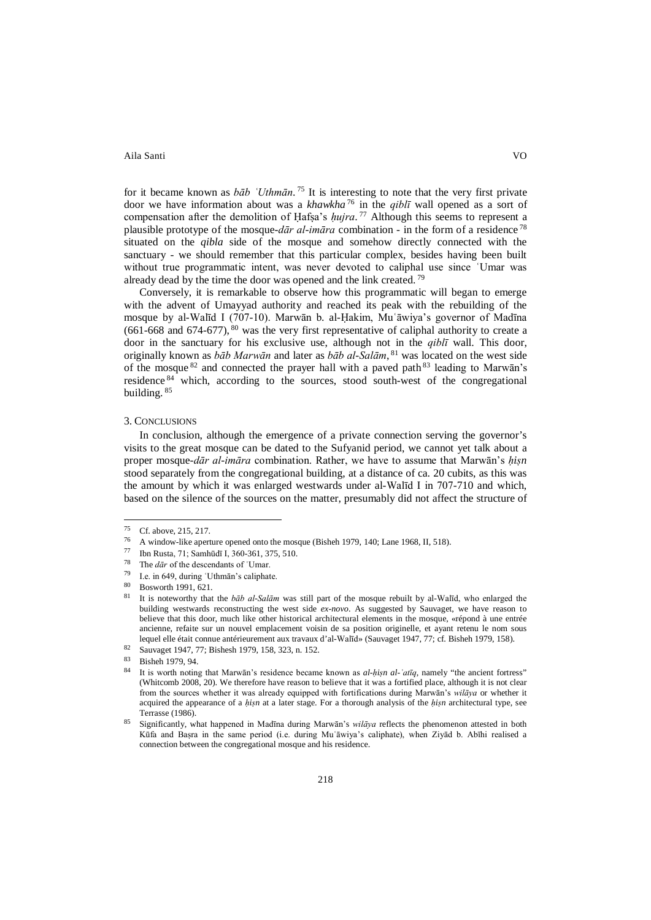for it became known as *bāb ʿUthmān*. <sup>75</sup> It is interesting to note that the very first private door we have information about was a *khawkha* <sup>76</sup> in the *qiblī* wall opened as a sort of compensation after the demolition of Ḥafṣa's *ḥujra*. <sup>77</sup> Although this seems to represent a plausible prototype of the mosque-*dār al-imāra* combination - in the form of a residence <sup>78</sup> situated on the *qibla* side of the mosque and somehow directly connected with the sanctuary - we should remember that this particular complex, besides having been built without true programmatic intent, was never devoted to caliphal use since ʿUmar was already dead by the time the door was opened and the link created.<sup>79</sup>

Conversely, it is remarkable to observe how this programmatic will began to emerge with the advent of Umayyad authority and reached its peak with the rebuilding of the mosque by al-Walīd I (707-10). Marwān b. al-Ḥakim, Muʿāwiya's governor of Madīna  $(661-668$  and  $674-677)$ ,  $80$  was the very first representative of caliphal authority to create a door in the sanctuary for his exclusive use, although not in the *qiblī* wall. This door, originally known as *bāb Marwān* and later as *bāb al-Salām*, <sup>81</sup> was located on the west side of the mosque  $82$  and connected the prayer hall with a paved path  $83$  leading to Marwan's residence <sup>84</sup> which, according to the sources, stood south-west of the congregational building.  $85$ 

### 3. CONCLUSIONS

In conclusion, although the emergence of a private connection serving the governor's visits to the great mosque can be dated to the Sufyanid period, we cannot yet talk about a proper mosque-*dār al-imāra* combination. Rather, we have to assume that Marwān's *ḥiṣn*  stood separately from the congregational building, at a distance of ca. 20 cubits, as this was the amount by which it was enlarged westwards under al-Walīd I in 707-710 and which, based on the silence of the sources on the matter, presumably did not affect the structure of

 $^{75}$  Cf. above, 215, 217. 75

<sup>&</sup>lt;sup>76</sup> A window-like aperture opened onto the mosque (Bisheh 1979, 140; Lane 1968, II, 518).

<sup>77</sup> Ibn Rusta, 71; Samhūdī I, 360-361, 375, 510.

<sup>&</sup>lt;sup>78</sup> The  $d\bar{a}r$  of the descendants of 'Umar.<br><sup>79</sup> Le in 640, during 'Uthmān's solinkat

<sup>&</sup>lt;sup>79</sup> I.e. in 649, during 'Uthmān's caliphate.

 $\frac{80}{81}$  Bosworth 1991, 621.

<sup>81</sup> It is noteworthy that the *bāb al-Salām* was still part of the mosque rebuilt by al-Walīd, who enlarged the building westwards reconstructing the west side *ex-novo*. As suggested by Sauvaget, we have reason to believe that this door, much like other historical architectural elements in the mosque, «répond à une entrée ancienne, refaite sur un nouvel emplacement voisin de sa position originelle, et ayant retenu le nom sous lequel elle était connue antérieurement aux travaux d'al-Walīd» (Sauvaget 1947, 77; cf. Bisheh 1979, 158).

<sup>82</sup> Sauvaget 1947, 77; Bishesh 1979, 158, 323, n. 152.

 $\frac{83}{84}$  Bisheh 1979, 94.

<sup>84</sup> It is worth noting that Marwān's residence became known as *al-ḥiṣn al-ʿatīq*, namely "the ancient fortress" (Whitcomb 2008, 20). We therefore have reason to believe that it was a fortified place, although it is not clear from the sources whether it was already equipped with fortifications during Marwān's *wilāya* or whether it acquired the appearance of a *ḥiṣn* at a later stage. For a thorough analysis of the *ḥiṣn* architectural type, see Terrasse (1986).

<sup>85</sup> Significantly, what happened in Madīna during Marwān's *wilāya* reflects the phenomenon attested in both Kūfa and Baṣra in the same period (i.e. during Muʿāwiya's caliphate), when Ziyād b. Abīhi realised a connection between the congregational mosque and his residence.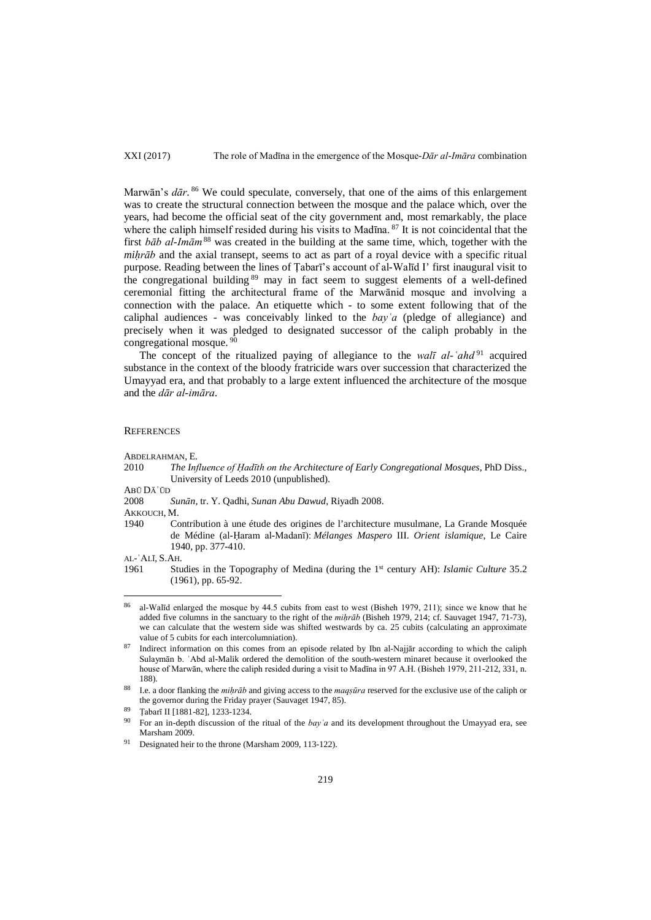XXI (2017) The role of Madīna in the emergence of the Mosque-*Dār al-Imāra* combination

Marwān's *dār*. <sup>86</sup> We could speculate, conversely, that one of the aims of this enlargement was to create the structural connection between the mosque and the palace which, over the years, had become the official seat of the city government and, most remarkably, the place where the caliph himself resided during his visits to Madīna. <sup>87</sup> It is not coincidental that the first *bāb al-Imām*<sup>88</sup> was created in the building at the same time, which, together with the *miḥrāb* and the axial transept, seems to act as part of a royal device with a specific ritual purpose. Reading between the lines of Ṭabarī's account of al-Walīd I' first inaugural visit to the congregational building <sup>89</sup> may in fact seem to suggest elements of a well-defined ceremonial fitting the architectural frame of the Marwānid mosque and involving a connection with the palace. An etiquette which - to some extent following that of the caliphal audiences - was conceivably linked to the *bayʿa* (pledge of allegiance) and precisely when it was pledged to designated successor of the caliph probably in the congregational mosque.<sup>9</sup>

The concept of the ritualized paying of allegiance to the *walī al-ʿahd* <sup>91</sup> acquired substance in the context of the bloody fratricide wars over succession that characterized the Umayyad era, and that probably to a large extent influenced the architecture of the mosque and the *dār al-imāra*.

### **REFERENCES**

ABDELRAHMAN, E.

2010 *The Influence of Ḥadīth on the Architecture of Early Congregational Mosques*, PhD Diss., University of Leeds 2010 (unpublished).

ABŪ DĀʾŪD

2008 *Sunān,* tr. Y. Qadhi*, Sunan Abu Dawud*, Riyadh 2008.

AKKOUCH, M.

1940 Contribution à une étude des origines de l'architecture musulmane, La Grande Mosquée de Médine (al-Ḥaram al-Madanī): *Mélanges Maspero* III. *Orient islamique*, Le Caire 1940, pp. 377-410.

AL-ʿALĪ, S.AH.

<sup>1961</sup> Studies in the Topography of Medina (during the 1st century AH): *Islamic Culture* 35.2 (1961), pp. 65-92.

al-Walīd enlarged the mosque by 44.5 cubits from east to west (Bisheh 1979, 211); since we know that he added five columns in the sanctuary to the right of the *miḥrāb* (Bisheh 1979, 214; cf. Sauvaget 1947, 71-73), we can calculate that the western side was shifted westwards by ca. 25 cubits (calculating an approximate value of 5 cubits for each intercolumniation).<br>Indirect information on this comes from an episode related by Ibn al-Najjār according to which the caliph 86

Sulaymān b. ʿAbd al-Malik ordered the demolition of the south-western minaret because it overlooked the house of Marwān, where the caliph resided during a visit to Madīna in 97 A.H. (Bisheh 1979, 211-212, 331, n. 188).

<sup>88</sup> I.e. a door flanking the *miḥrāb* and giving access to the *maqṣūra* reserved for the exclusive use of the caliph or the governor during the Friday prayer (Sauvaget 1947, 85).

<sup>89</sup> Ṭabarī II [1881-82], 1233-1234.

<sup>90</sup> For an in-depth discussion of the ritual of the *bayʿa* and its development throughout the Umayyad era, see Marsham 2009.

Designated heir to the throne (Marsham 2009, 113-122).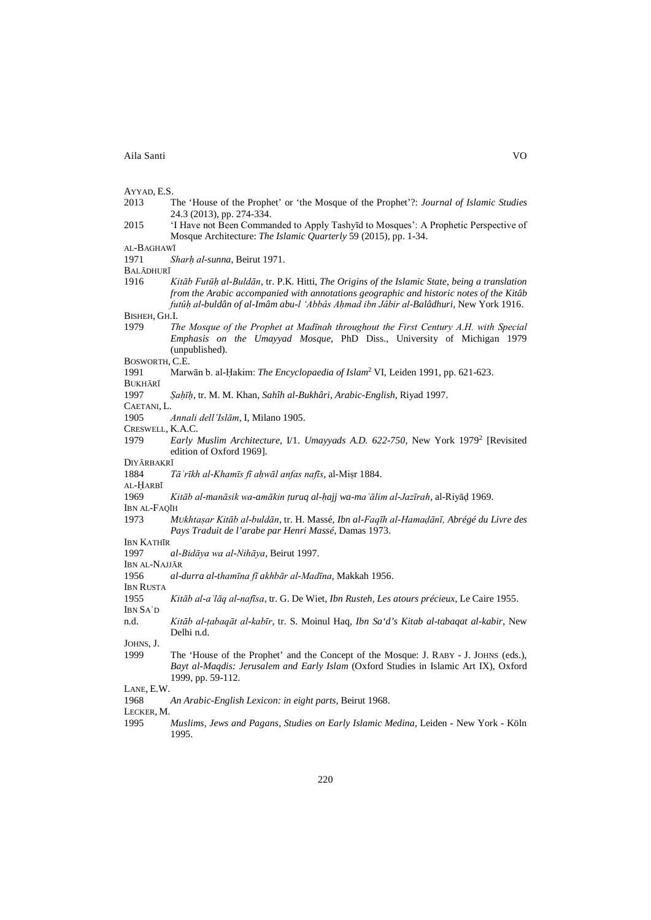- AYYAD, E.S.<br>2013 2013 The 'House of the Prophet' or 'the Mosque of the Prophet'?: *Journal of Islamic Studies* 24.3 (2013), pp. 274-334.
- 2015 'I Have not Been Commanded to Apply Tashyīd to Mosques': A Prophetic Perspective of Mosque Architecture: *The Islamic Quarterly* 59 (2015), pp. 1-34.

AL-BAGHAWĪ

1971 *Sharḥ al-sunna*, Beirut 1971.

BALĀDHURĪ<br>1916

1916 *Kitāb Futūḥ al-Buldān*, tr. P.K. Hitti, *The Origins of the Islamic State, being a translation from the Arabic accompanied with annotations geographic and historic notes of the Kitâb futûḥ al-buldân of al-Imâm abu-l 'Abbâs Aḥmad ibn Jâbir al-Balâdhuri*, New York 1916.

BISHEH, GH.I.

1979 *The Mosque of the Prophet at Madīnah throughout the First Century A.H. with Special Emphasis on the Umayyad Mosque*, PhD Diss., University of Michigan 1979 (unpublished).

BOSWORTH, C.E.

- 1991 Marwān b. al-Ḥakim: *The Encyclopaedia of Islam*<sup>2</sup> VI, Leiden 1991, pp. 621-623.
- BUKHĀRĪ
- 1997 *Ṣaḥīḥ*, tr. M. M. Khan, *Sahîh al-Bukhâri, Arabic-English*, Riyad 1997.
- CAETANI, L.

1905 *Annali dell'Islām*, I, Milano 1905.

- CRESWELL, K.A.C.
- 1979 *Early Muslim Architecture*, I/1. *Umayyads A.D. 622-750*, New York 19792 [Revisited edition of Oxford 1969].

DIYĀRBAKRĪ

- 1884 *Tāʾrīkh al-Khamīs fī aḥwāl anfas nafīs*, al-Miṣr 1884.
- AL-ḤARBĪ
- 1969 *Kitāb al-manāsik wa-amākin ṭuruq al-ḥajj wa-maʿālim al-Jazīrah*, al-Riyāḍ 1969.
- IBN AL-FAQĪH
- 1973 *MUkhtaṣar Kitāb al-buldān*, tr. H. Massé, *Ibn al-Faqīh al-Hamaḍānī, Abrégé du Livre des Pays Traduit de l'arabe par Henri Massé*, Damas 1973.
- IBN KATHĪR

1997 *al-Bidāya wa al-Nihāya*, Beirut 1997.

- IBN AL-NAJJĀR
- 1956 *al-durra al-thamīna fī akhbār al-Madīna*, Makkah 1956.
- IBN RUSTA
- 1955 *Kitāb al-aʿlāq al-nafīsa*, tr. G. De Wiet, *Ibn Rusteh, Les atours précieux*, Le Caire 1955. IBN SAʿD
- n.d. *Kitāb al-ṭabaqāt al-kabīr*, tr. S. Moinul Haq, *Ibn Sa'd's Kitab al-tabaqat al-kabir*, New Delhi n.d.

JOHNS, J.

1999 The 'House of the Prophet' and the Concept of the Mosque: J. RABY - J. JOHNS (eds.), *Bayt al-Maqdis: Jerusalem and Early Islam* (Oxford Studies in Islamic Art IX), Oxford 1999, pp. 59-112.

1968 *An Arabic-English Lexicon: in eight parts*, Beirut 1968.

LECKER, M.

1995 *Muslims, Jews and Pagans, Studies on Early Islamic Medina*, Leiden - New York - Köln 1995.

LANE, E.W.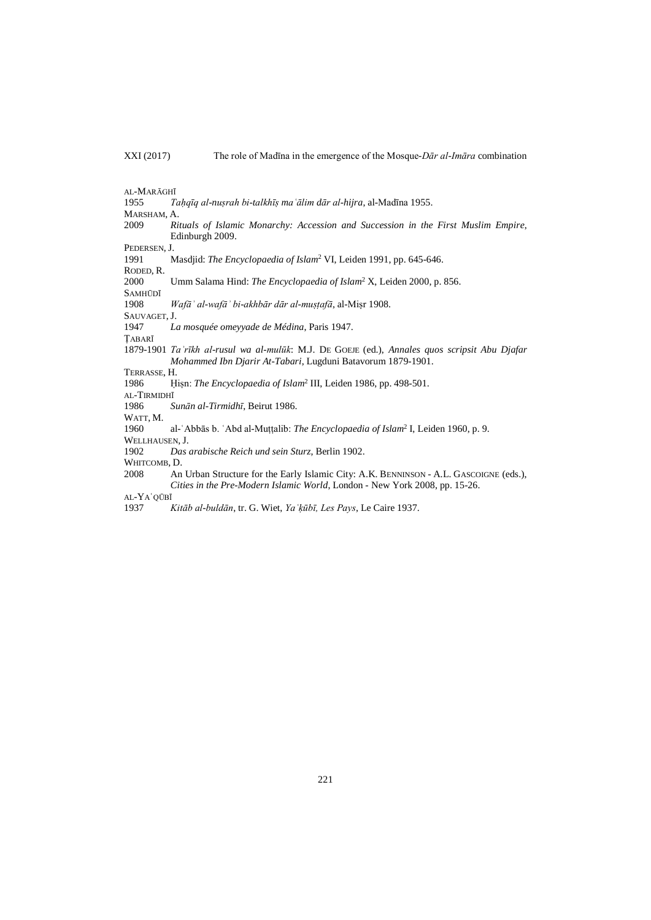AL-MARĀGHĪ<br>1955 *T* 1955 *Taḥqīq al-nuṣrah bi-talkhīṣ maʿālim dār al-hijra*, al-Madīna 1955.

MARSHAM, A.

2009 *Rituals of Islamic Monarchy: Accession and Succession in the First Muslim Empire*, Edinburgh 2009.

PEDERSEN, J.

1991 Masdjid: *The Encyclopaedia of Islam*<sup>2</sup> VI, Leiden 1991, pp. 645-646.

RODED, R. 2000 Umm Salama Hind: *The Encyclopaedia of Islam*<sup>2</sup> X, Leiden 2000, p. 856.

SAMHŪDĪ

1908 *Wafāʾ al-wafāʾ bi-akhbār dār al-muṣṭafā*, al-Miṣr 1908.

SAUVAGET, J.

1947 *La mosquée omeyyade de Médina*, Paris 1947.

ṬABARĪ

1879-1901 *Taʾrīkh al-rusul wa al-mulūk*: M.J. DE GOEJE (ed.), *Annales quos scripsit Abu Djafar Mohammed Ibn Djarir At-Tabari*, Lugduni Batavorum 1879-1901.

TERRASSE, H.<br>1986 H

1986 Ḥiṣn: *The Encyclopaedia of Islam*<sup>2</sup> III, Leiden 1986, pp. 498-501.

AL-TIRMIDHĪ

1986 *Sunān al-Tirmidhī*, Beirut 1986.

WATT, M.

1960 al-ʿAbbās b. ʿAbd al-Muṭṭalib: *The Encyclopaedia of Islam*<sup>2</sup> I, Leiden 1960, p. 9.

WELLHAUSEN, J.<br>1902 Das 1902 *Das arabische Reich und sein Sturz*, Berlin 1902.

WHITCOMB, D.

2008 An Urban Structure for the Early Islamic City: A.K. BENNINSON - A.L. GASCOIGNE (eds.), *Cities in the Pre-Modern Islamic World*, London - New York 2008, pp. 15-26.

AL-YAʿQŪBĪ

1937 *Kitāb al-buldān*, tr. G. Wiet, *Yaʿḳūbī, Les Pays*, Le Caire 1937.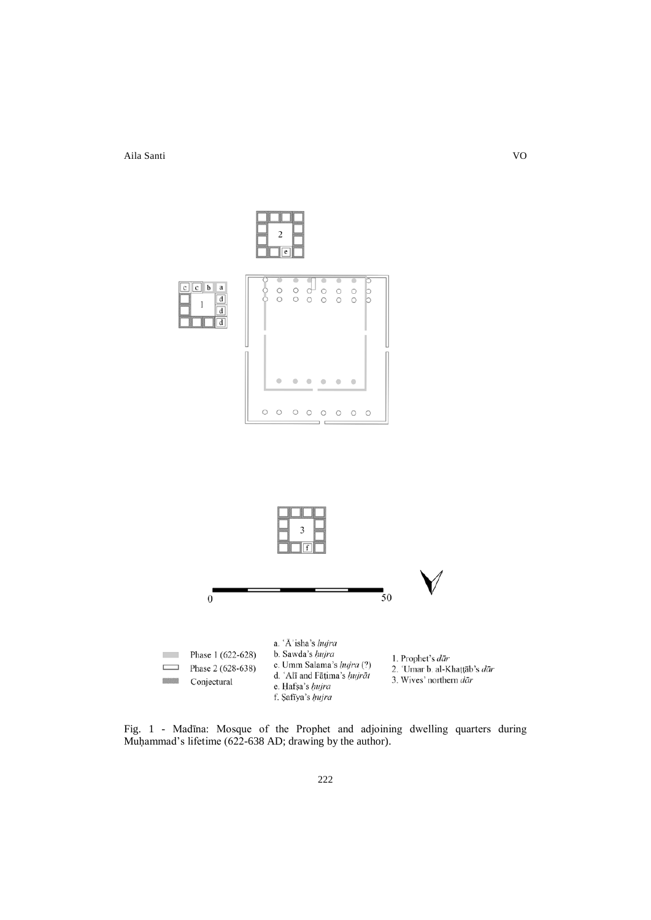

Fig. 1 - Madīna: Mosque of the Prophet and adjoining dwelling quarters during Muḥammad's lifetime (622-638 AD; drawing by the author).